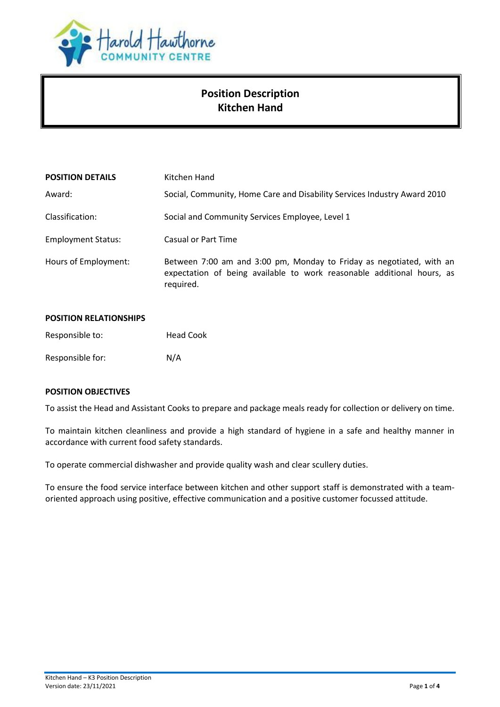

# **Position Description Kitchen Hand**

| <b>POSITION DETAILS</b>   | Kitchen Hand                                                                                                                                                |  |
|---------------------------|-------------------------------------------------------------------------------------------------------------------------------------------------------------|--|
| Award:                    | Social, Community, Home Care and Disability Services Industry Award 2010                                                                                    |  |
| Classification:           | Social and Community Services Employee, Level 1                                                                                                             |  |
| <b>Employment Status:</b> | Casual or Part Time                                                                                                                                         |  |
| Hours of Employment:      | Between 7:00 am and 3:00 pm, Monday to Friday as negotiated, with an<br>expectation of being available to work reasonable additional hours, as<br>required. |  |

| <b>POSITION RELATIONSHIPS</b> |                  |
|-------------------------------|------------------|
| Responsible to:               | <b>Head Cook</b> |
| Responsible for:              | N/A              |

### **POSITION OBJECTIVES**

To assist the Head and Assistant Cooks to prepare and package meals ready for collection or delivery on time.

To maintain kitchen cleanliness and provide a high standard of hygiene in a safe and healthy manner in accordance with current food safety standards.

To operate commercial dishwasher and provide quality wash and clear scullery duties.

To ensure the food service interface between kitchen and other support staff is demonstrated with a teamoriented approach using positive, effective communication and a positive customer focussed attitude.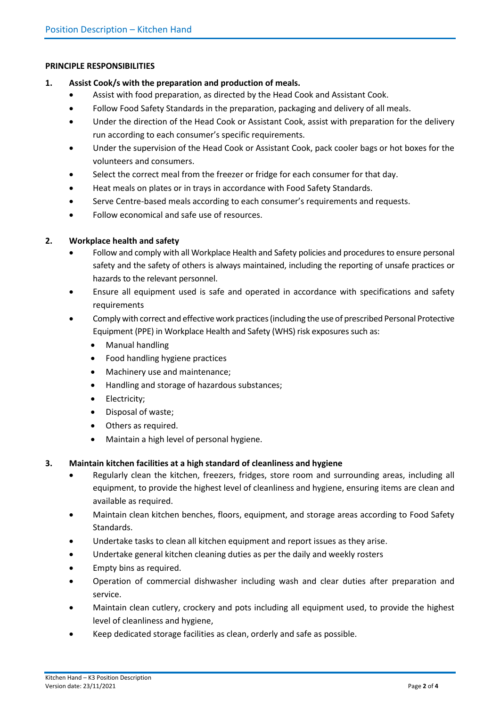#### **PRINCIPLE RESPONSIBILITIES**

- **1. Assist Cook/s with the preparation and production of meals.**
	- Assist with food preparation, as directed by the Head Cook and Assistant Cook.
	- Follow Food Safety Standards in the preparation, packaging and delivery of all meals.
	- Under the direction of the Head Cook or Assistant Cook, assist with preparation for the delivery run according to each consumer's specific requirements.
	- Under the supervision of the Head Cook or Assistant Cook, pack cooler bags or hot boxes for the volunteers and consumers.
	- Select the correct meal from the freezer or fridge for each consumer for that day.
	- Heat meals on plates or in trays in accordance with Food Safety Standards.
	- Serve Centre-based meals according to each consumer's requirements and requests.
	- Follow economical and safe use of resources.

#### **2. Workplace health and safety**

- Follow and comply with all Workplace Health and Safety policies and procedures to ensure personal safety and the safety of others is always maintained, including the reporting of unsafe practices or hazards to the relevant personnel.
- Ensure all equipment used is safe and operated in accordance with specifications and safety requirements
- Comply with correct and effective work practices (including the use of prescribed Personal Protective Equipment (PPE) in Workplace Health and Safety (WHS) risk exposures such as:
	- Manual handling
	- Food handling hygiene practices
	- Machinery use and maintenance;
	- Handling and storage of hazardous substances;
	- Electricity;
	- Disposal of waste;
	- Others as required.
	- Maintain a high level of personal hygiene.

### **3. Maintain kitchen facilities at a high standard of cleanliness and hygiene**

- Regularly clean the kitchen, freezers, fridges, store room and surrounding areas, including all equipment, to provide the highest level of cleanliness and hygiene, ensuring items are clean and available as required.
- Maintain clean kitchen benches, floors, equipment, and storage areas according to Food Safety Standards.
- Undertake tasks to clean all kitchen equipment and report issues as they arise.
- Undertake general kitchen cleaning duties as per the daily and weekly rosters
- Empty bins as required.
- Operation of commercial dishwasher including wash and clear duties after preparation and service.
- Maintain clean cutlery, crockery and pots including all equipment used, to provide the highest level of cleanliness and hygiene,
- Keep dedicated storage facilities as clean, orderly and safe as possible.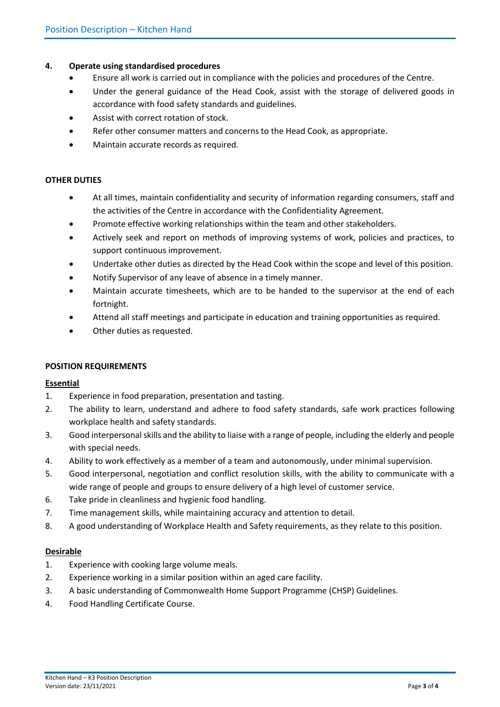### **4. Operate using standardised procedures**

- Ensure all work is carried out in compliance with the policies and procedures of the Centre.
- Under the general guidance of the Head Cook, assist with the storage of delivered goods in accordance with food safety standards and guidelines.
- Assist with correct rotation of stock.
- Refer other consumer matters and concerns to the Head Cook, as appropriate.
- Maintain accurate records as required.

### **OTHER DUTIES**

- At all times, maintain confidentiality and security of information regarding consumers, staff and the activities of the Centre in accordance with the Confidentiality Agreement.
- Promote effective working relationships within the team and other stakeholders.
- Actively seek and report on methods of improving systems of work, policies and practices, to support continuous improvement.
- Undertake other duties as directed by the Head Cook within the scope and level of this position.
- Notify Supervisor of any leave of absence in a timely manner.
- Maintain accurate timesheets, which are to be handed to the supervisor at the end of each fortnight.
- Attend all staff meetings and participate in education and training opportunities as required.
- Other duties as requested.

#### **POSITION REQUIREMENTS**

#### **Essential**

- 1. Experience in food preparation, presentation and tasting.
- 2. The ability to learn, understand and adhere to food safety standards, safe work practices following workplace health and safety standards.
- 3. Good interpersonal skills and the ability to liaise with a range of people, including the elderly and people with special needs.
- 4. Ability to work effectively as a member of a team and autonomously, under minimal supervision.
- 5. Good interpersonal, negotiation and conflict resolution skills, with the ability to communicate with a wide range of people and groups to ensure delivery of a high level of customer service.
- 6. Take pride in cleanliness and hygienic food handling.
- 7. Time management skills, while maintaining accuracy and attention to detail.
- 8. A good understanding of Workplace Health and Safety requirements, as they relate to this position.

#### **Desirable**

- 1. Experience with cooking large volume meals.
- 2. Experience working in a similar position within an aged care facility.
- 3. A basic understanding of Commonwealth Home Support Programme (CHSP) Guidelines.
- 4. Food Handling Certificate Course.